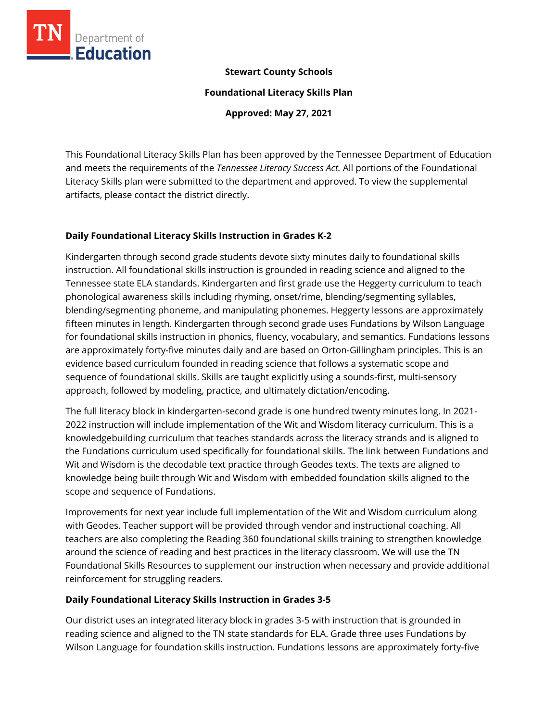

### **Stewart County Schools**

**Foundational Literacy Skills Plan**

**Approved: May 27, 2021**

This Foundational Literacy Skills Plan has been approved by the Tennessee Department of Education and meets the requirements of the *Tennessee Literacy Success Act.* All portions of the Foundational Literacy Skills plan were submitted to the department and approved. To view the supplemental artifacts, please contact the district directly.

## **Daily Foundational Literacy Skills Instruction in Grades K-2**

Kindergarten through second grade students devote sixty minutes daily to foundational skills instruction. All foundational skills instruction is grounded in reading science and aligned to the Tennessee state ELA standards. Kindergarten and first grade use the Heggerty curriculum to teach phonological awareness skills including rhyming, onset/rime, blending/segmenting syllables, blending/segmenting phoneme, and manipulating phonemes. Heggerty lessons are approximately fifteen minutes in length. Kindergarten through second grade uses Fundations by Wilson Language for foundational skills instruction in phonics, fluency, vocabulary, and semantics. Fundations lessons are approximately forty-five minutes daily and are based on Orton-Gillingham principles. This is an evidence based curriculum founded in reading science that follows a systematic scope and sequence of foundational skills. Skills are taught explicitly using a sounds-first, multi-sensory approach, followed by modeling, practice, and ultimately dictation/encoding.

The full literacy block in kindergarten-second grade is one hundred twenty minutes long. In 2021- 2022 instruction will include implementation of the Wit and Wisdom literacy curriculum. This is a knowledgebuilding curriculum that teaches standards across the literacy strands and is aligned to the Fundations curriculum used specifically for foundational skills. The link between Fundations and Wit and Wisdom is the decodable text practice through Geodes texts. The texts are aligned to knowledge being built through Wit and Wisdom with embedded foundation skills aligned to the scope and sequence of Fundations.

Improvements for next year include full implementation of the Wit and Wisdom curriculum along with Geodes. Teacher support will be provided through vendor and instructional coaching. All teachers are also completing the Reading 360 foundational skills training to strengthen knowledge around the science of reading and best practices in the literacy classroom. We will use the TN Foundational Skills Resources to supplement our instruction when necessary and provide additional reinforcement for struggling readers.

## **Daily Foundational Literacy Skills Instruction in Grades 3-5**

Our district uses an integrated literacy block in grades 3-5 with instruction that is grounded in reading science and aligned to the TN state standards for ELA. Grade three uses Fundations by Wilson Language for foundation skills instruction. Fundations lessons are approximately forty-five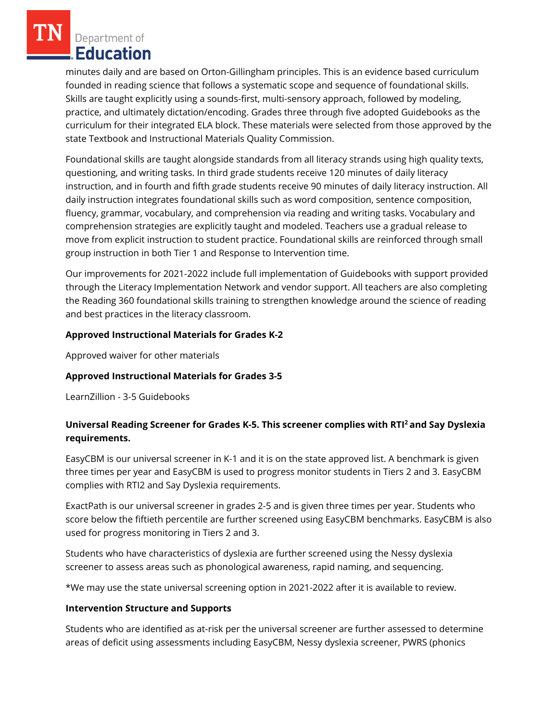Department of Education

minutes daily and are based on Orton-Gillingham principles. This is an evidence based curriculum founded in reading science that follows a systematic scope and sequence of foundational skills. Skills are taught explicitly using a sounds-first, multi-sensory approach, followed by modeling, practice, and ultimately dictation/encoding. Grades three through five adopted Guidebooks as the curriculum for their integrated ELA block. These materials were selected from those approved by the state Textbook and Instructional Materials Quality Commission.

Foundational skills are taught alongside standards from all literacy strands using high quality texts, questioning, and writing tasks. In third grade students receive 120 minutes of daily literacy instruction, and in fourth and fifth grade students receive 90 minutes of daily literacy instruction. All daily instruction integrates foundational skills such as word composition, sentence composition, fluency, grammar, vocabulary, and comprehension via reading and writing tasks. Vocabulary and comprehension strategies are explicitly taught and modeled. Teachers use a gradual release to move from explicit instruction to student practice. Foundational skills are reinforced through small group instruction in both Tier 1 and Response to Intervention time.

Our improvements for 2021-2022 include full implementation of Guidebooks with support provided through the Literacy Implementation Network and vendor support. All teachers are also completing the Reading 360 foundational skills training to strengthen knowledge around the science of reading and best practices in the literacy classroom.

## **Approved Instructional Materials for Grades K-2**

Approved waiver for other materials

# **Approved Instructional Materials for Grades 3-5**

LearnZillion - 3-5 Guidebooks

# **Universal Reading Screener for Grades K-5. This screener complies with RTI<sup>2</sup>and Say Dyslexia requirements.**

EasyCBM is our universal screener in K-1 and it is on the state approved list. A benchmark is given three times per year and EasyCBM is used to progress monitor students in Tiers 2 and 3. EasyCBM complies with RTI2 and Say Dyslexia requirements.

ExactPath is our universal screener in grades 2-5 and is given three times per year. Students who score below the fiftieth percentile are further screened using EasyCBM benchmarks. EasyCBM is also used for progress monitoring in Tiers 2 and 3.

Students who have characteristics of dyslexia are further screened using the Nessy dyslexia screener to assess areas such as phonological awareness, rapid naming, and sequencing.

\*We may use the state universal screening option in 2021-2022 after it is available to review.

## **Intervention Structure and Supports**

Students who are identified as at-risk per the universal screener are further assessed to determine areas of deficit using assessments including EasyCBM, Nessy dyslexia screener, PWRS (phonics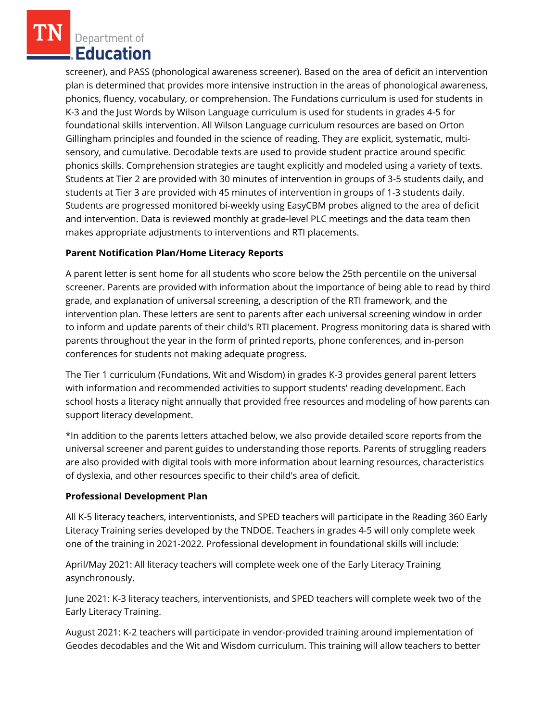Department of Education

screener), and PASS (phonological awareness screener). Based on the area of deficit an intervention plan is determined that provides more intensive instruction in the areas of phonological awareness, phonics, fluency, vocabulary, or comprehension. The Fundations curriculum is used for students in K-3 and the Just Words by Wilson Language curriculum is used for students in grades 4-5 for foundational skills intervention. All Wilson Language curriculum resources are based on Orton Gillingham principles and founded in the science of reading. They are explicit, systematic, multisensory, and cumulative. Decodable texts are used to provide student practice around specific phonics skills. Comprehension strategies are taught explicitly and modeled using a variety of texts. Students at Tier 2 are provided with 30 minutes of intervention in groups of 3-5 students daily, and students at Tier 3 are provided with 45 minutes of intervention in groups of 1-3 students daily. Students are progressed monitored bi-weekly using EasyCBM probes aligned to the area of deficit and intervention. Data is reviewed monthly at grade-level PLC meetings and the data team then makes appropriate adjustments to interventions and RTI placements.

## **Parent Notification Plan/Home Literacy Reports**

A parent letter is sent home for all students who score below the 25th percentile on the universal screener. Parents are provided with information about the importance of being able to read by third grade, and explanation of universal screening, a description of the RTI framework, and the intervention plan. These letters are sent to parents after each universal screening window in order to inform and update parents of their child's RTI placement. Progress monitoring data is shared with parents throughout the year in the form of printed reports, phone conferences, and in-person conferences for students not making adequate progress.

The Tier 1 curriculum (Fundations, Wit and Wisdom) in grades K-3 provides general parent letters with information and recommended activities to support students' reading development. Each school hosts a literacy night annually that provided free resources and modeling of how parents can support literacy development.

\*In addition to the parents letters attached below, we also provide detailed score reports from the universal screener and parent guides to understanding those reports. Parents of struggling readers are also provided with digital tools with more information about learning resources, characteristics of dyslexia, and other resources specific to their child's area of deficit.

## **Professional Development Plan**

All K-5 literacy teachers, interventionists, and SPED teachers will participate in the Reading 360 Early Literacy Training series developed by the TNDOE. Teachers in grades 4-5 will only complete week one of the training in 2021-2022. Professional development in foundational skills will include:

April/May 2021: All literacy teachers will complete week one of the Early Literacy Training asynchronously.

June 2021: K-3 literacy teachers, interventionists, and SPED teachers will complete week two of the Early Literacy Training.

August 2021: K-2 teachers will participate in vendor-provided training around implementation of Geodes decodables and the Wit and Wisdom curriculum. This training will allow teachers to better